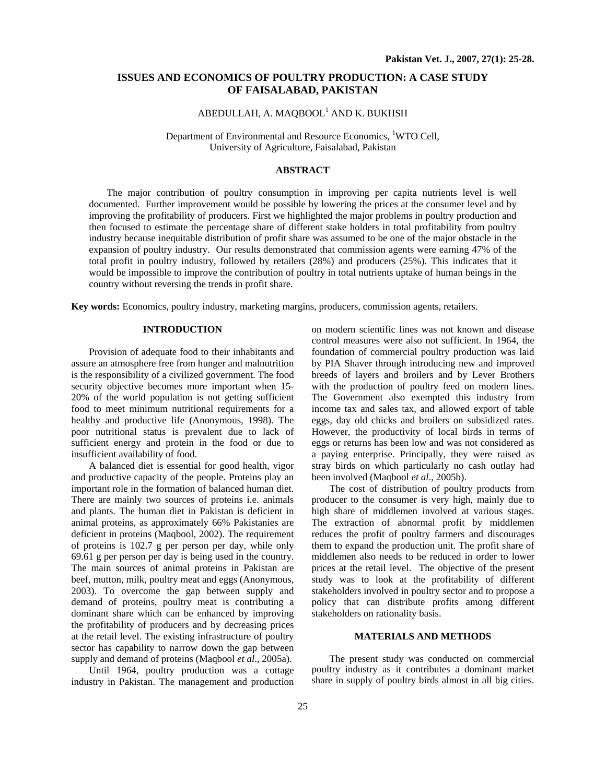# **ISSUES AND ECONOMICS OF POULTRY PRODUCTION: A CASE STUDY OF FAISALABAD, PAKISTAN**

# $\mathbf A$ BEDULLAH, A. MAQBOOL $^1$  AND K. BUKHSH

Department of Environmental and Resource Economics, <sup>1</sup>WTO Cell, University of Agriculture, Faisalabad, Pakistan

## **ABSTRACT**

The major contribution of poultry consumption in improving per capita nutrients level is well documented. Further improvement would be possible by lowering the prices at the consumer level and by improving the profitability of producers. First we highlighted the major problems in poultry production and then focused to estimate the percentage share of different stake holders in total profitability from poultry industry because inequitable distribution of profit share was assumed to be one of the major obstacle in the expansion of poultry industry. Our results demonstrated that commission agents were earning 47% of the total profit in poultry industry, followed by retailers (28%) and producers (25%). This indicates that it would be impossible to improve the contribution of poultry in total nutrients uptake of human beings in the country without reversing the trends in profit share.

**Key words:** Economics, poultry industry, marketing margins, producers, commission agents, retailers.

## **INTRODUCTION**

Provision of adequate food to their inhabitants and assure an atmosphere free from hunger and malnutrition is the responsibility of a civilized government. The food security objective becomes more important when 15- 20% of the world population is not getting sufficient food to meet minimum nutritional requirements for a healthy and productive life (Anonymous, 1998). The poor nutritional status is prevalent due to lack of sufficient energy and protein in the food or due to insufficient availability of food.

A balanced diet is essential for good health, vigor and productive capacity of the people. Proteins play an important role in the formation of balanced human diet. There are mainly two sources of proteins i.e. animals and plants. The human diet in Pakistan is deficient in animal proteins, as approximately 66% Pakistanies are deficient in proteins (Maqbool, 2002). The requirement of proteins is 102.7 g per person per day, while only 69.61 g per person per day is being used in the country. The main sources of animal proteins in Pakistan are beef, mutton, milk, poultry meat and eggs (Anonymous, 2003). To overcome the gap between supply and demand of proteins, poultry meat is contributing a dominant share which can be enhanced by improving the profitability of producers and by decreasing prices at the retail level. The existing infrastructure of poultry sector has capability to narrow down the gap between supply and demand of proteins (Maqbool *et al*., 2005a).

Until 1964, poultry production was a cottage industry in Pakistan. The management and production on modern scientific lines was not known and disease control measures were also not sufficient. In 1964, the foundation of commercial poultry production was laid by PIA Shaver through introducing new and improved breeds of layers and broilers and by Lever Brothers with the production of poultry feed on modern lines. The Government also exempted this industry from income tax and sales tax, and allowed export of table eggs, day old chicks and broilers on subsidized rates. However, the productivity of local birds in terms of eggs or returns has been low and was not considered as a paying enterprise. Principally, they were raised as stray birds on which particularly no cash outlay had been involved (Maqbool *et al*., 2005b).

The cost of distribution of poultry products from producer to the consumer is very high, mainly due to high share of middlemen involved at various stages. The extraction of abnormal profit by middlemen reduces the profit of poultry farmers and discourages them to expand the production unit. The profit share of middlemen also needs to be reduced in order to lower prices at the retail level. The objective of the present study was to look at the profitability of different stakeholders involved in poultry sector and to propose a policy that can distribute profits among different stakeholders on rationality basis.

### **MATERIALS AND METHODS**

The present study was conducted on commercial poultry industry as it contributes a dominant market share in supply of poultry birds almost in all big cities.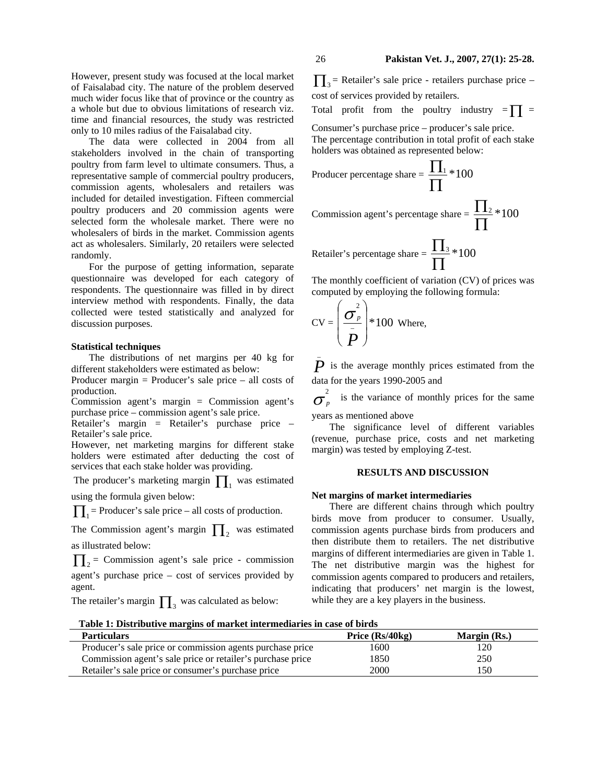However, present study was focused at the local market of Faisalabad city. The nature of the problem deserved much wider focus like that of province or the country as a whole but due to obvious limitations of research viz. time and financial resources, the study was restricted only to 10 miles radius of the Faisalabad city.

The data were collected in 2004 from all stakeholders involved in the chain of transporting poultry from farm level to ultimate consumers. Thus, a representative sample of commercial poultry producers, commission agents, wholesalers and retailers was included for detailed investigation. Fifteen commercial poultry producers and 20 commission agents were selected form the wholesale market. There were no wholesalers of birds in the market. Commission agents act as wholesalers. Similarly, 20 retailers were selected randomly.

For the purpose of getting information, separate questionnaire was developed for each category of respondents. The questionnaire was filled in by direct interview method with respondents. Finally, the data collected were tested statistically and analyzed for discussion purposes.

### **Statistical techniques**

The distributions of net margins per 40 kg for different stakeholders were estimated as below:

Producer margin = Producer's sale price – all costs of production.

Commission agent's margin = Commission agent's purchase price – commission agent's sale price.

Retailer's margin = Retailer's purchase price – Retailer's sale price.

However, net marketing margins for different stake holders were estimated after deducting the cost of services that each stake holder was providing.

The producer's marketing margin  $\prod_1$  was estimated using the formula given below:

 $\prod_{i=1}$  = Producer's sale price – all costs of production.

The Commission agent's margin  $\prod_{2}$  was estimated as illustrated below:

 $\prod_{2}$  = Commission agent's sale price - commission agent's purchase price – cost of services provided by agent.

The retailer's margin  $\prod_3$  was calculated as below:

 $\prod_{i=1}^{\infty}$  = Retailer's sale price - retailers purchase price – cost of services provided by retailers.

Total profit from the poultry industry  $= \prod$  =

Consumer's purchase price – producer's sale price. The percentage contribution in total profit of each stake holders was obtained as represented below:

Product percentage share = 
$$
\frac{\prod_{1}}{\prod_{2}} * 100
$$

\nCommission agent's percentage share =  $\frac{\prod_{2}}{\prod_{2}} * 100$ 

\nRetailer's percentage share =  $\frac{\prod_{3} * 100}{\prod_{2}}$ 

Retailer's percentage share =  $\frac{113}{2} * 100$ Π

The monthly coefficient of variation (CV) of prices was computed by employing the following formula:

$$
CV = \left(\frac{\sigma_p^2}{\bar{P}}\right) * 100
$$
 Where,

*P* \_ is the average monthly prices estimated from the data for the years 1990-2005 and

σ  $\frac{2}{p}$  is the variance of monthly prices for the same

years as mentioned above

The significance level of different variables (revenue, purchase price, costs and net marketing margin) was tested by employing Z-test.

## **RESULTS AND DISCUSSION**

#### **Net margins of market intermediaries**

There are different chains through which poultry birds move from producer to consumer. Usually, commission agents purchase birds from producers and then distribute them to retailers. The net distributive margins of different intermediaries are given in Table 1. The net distributive margin was the highest for commission agents compared to producers and retailers, indicating that producers' net margin is the lowest, while they are a key players in the business.

**Table 1: Distributive margins of market intermediaries in case of birds**

| A WHIAT AT AF AFTER WHITTE ALLE BALLE VA ALLEA ALT ALLE ALLE WANT AT I THEY VA MALLE WH |                   |              |  |
|-----------------------------------------------------------------------------------------|-------------------|--------------|--|
| <b>Particulars</b>                                                                      | Price $(Rs/40kg)$ | Margin (Rs.) |  |
| Producer's sale price or commission agents purchase price                               | 1600              | 120          |  |
| Commission agent's sale price or retailer's purchase price                              | 1850              | 250          |  |
| Retailer's sale price or consumer's purchase price                                      | 2000              | 150          |  |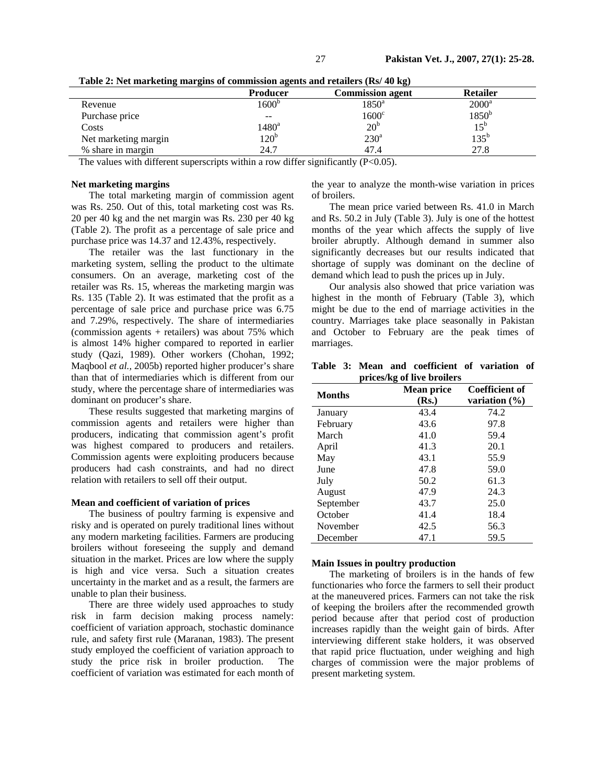|                      | <b>Producer</b>   | <b>Commission agent</b> | <b>Retailer</b> |
|----------------------|-------------------|-------------------------|-----------------|
| Revenue              | 1600 <sup>b</sup> | $1850^{\rm a}$          | $2000^a$        |
| Purchase price       | $- -$             | 1600 <sup>c</sup>       | $1850^{\rm b}$  |
| Costs                | $1480^{\rm a}$    | 20 <sup>b</sup>         | $15^{\rm b}$    |
| Net marketing margin | $120^{\rm b}$     | $230^{\circ}$           | $135^{\rm b}$   |
| % share in margin    | 24.7              | 47.4                    | 27.8            |

**Table 2: Net marketing margins of commission agents and retailers (Rs/ 40 kg)** 

The values with different superscripts within a row differ significantly  $(P<0.05)$ .

### **Net marketing margins**

The total marketing margin of commission agent was Rs. 250. Out of this, total marketing cost was Rs. 20 per 40 kg and the net margin was Rs. 230 per 40 kg (Table 2). The profit as a percentage of sale price and purchase price was 14.37 and 12.43%, respectively.

The retailer was the last functionary in the marketing system, selling the product to the ultimate consumers. On an average, marketing cost of the retailer was Rs. 15, whereas the marketing margin was Rs. 135 (Table 2). It was estimated that the profit as a percentage of sale price and purchase price was 6.75 and 7.29%, respectively. The share of intermediaries (commission agents + retailers) was about 75% which is almost 14% higher compared to reported in earlier study (Qazi, 1989). Other workers (Chohan, 1992; Maqbool *et al.,* 2005b) reported higher producer's share than that of intermediaries which is different from our study, where the percentage share of intermediaries was dominant on producer's share.

These results suggested that marketing margins of commission agents and retailers were higher than producers, indicating that commission agent's profit was highest compared to producers and retailers. Commission agents were exploiting producers because producers had cash constraints, and had no direct relation with retailers to sell off their output.

### **Mean and coefficient of variation of prices**

The business of poultry farming is expensive and risky and is operated on purely traditional lines without any modern marketing facilities. Farmers are producing broilers without foreseeing the supply and demand situation in the market. Prices are low where the supply is high and vice versa. Such a situation creates uncertainty in the market and as a result, the farmers are unable to plan their business.

There are three widely used approaches to study risk in farm decision making process namely: coefficient of variation approach, stochastic dominance rule, and safety first rule (Maranan, 1983). The present study employed the coefficient of variation approach to study the price risk in broiler production. The coefficient of variation was estimated for each month of the year to analyze the month-wise variation in prices of broilers.

The mean price varied between Rs. 41.0 in March and Rs. 50.2 in July (Table 3). July is one of the hottest months of the year which affects the supply of live broiler abruptly. Although demand in summer also significantly decreases but our results indicated that shortage of supply was dominant on the decline of demand which lead to push the prices up in July.

Our analysis also showed that price variation was highest in the month of February (Table 3), which might be due to the end of marriage activities in the country. Marriages take place seasonally in Pakistan and October to February are the peak times of marriages.

**Table 3: Mean and coefficient of variation of prices/kg of live broilers** 

| <b>Months</b> | <b>Mean price</b><br>(Rs.) | <b>Coefficient of</b><br>variation $(\% )$ |
|---------------|----------------------------|--------------------------------------------|
| January       | 43.4                       | 74.2                                       |
| February      | 43.6                       | 97.8                                       |
| March         | 41.0                       | 59.4                                       |
| April         | 41.3                       | 20.1                                       |
| May           | 43.1                       | 55.9                                       |
| June          | 47.8                       | 59.0                                       |
| July          | 50.2                       | 61.3                                       |
| August        | 47.9                       | 24.3                                       |
| September     | 43.7                       | 25.0                                       |
| October       | 41.4                       | 18.4                                       |
| November      | 42.5                       | 56.3                                       |
| December      | 47.1                       | 59.5                                       |

### **Main Issues in poultry production**

The marketing of broilers is in the hands of few functionaries who force the farmers to sell their product at the maneuvered prices. Farmers can not take the risk of keeping the broilers after the recommended growth period because after that period cost of production increases rapidly than the weight gain of birds. After interviewing different stake holders, it was observed that rapid price fluctuation, under weighing and high charges of commission were the major problems of present marketing system.